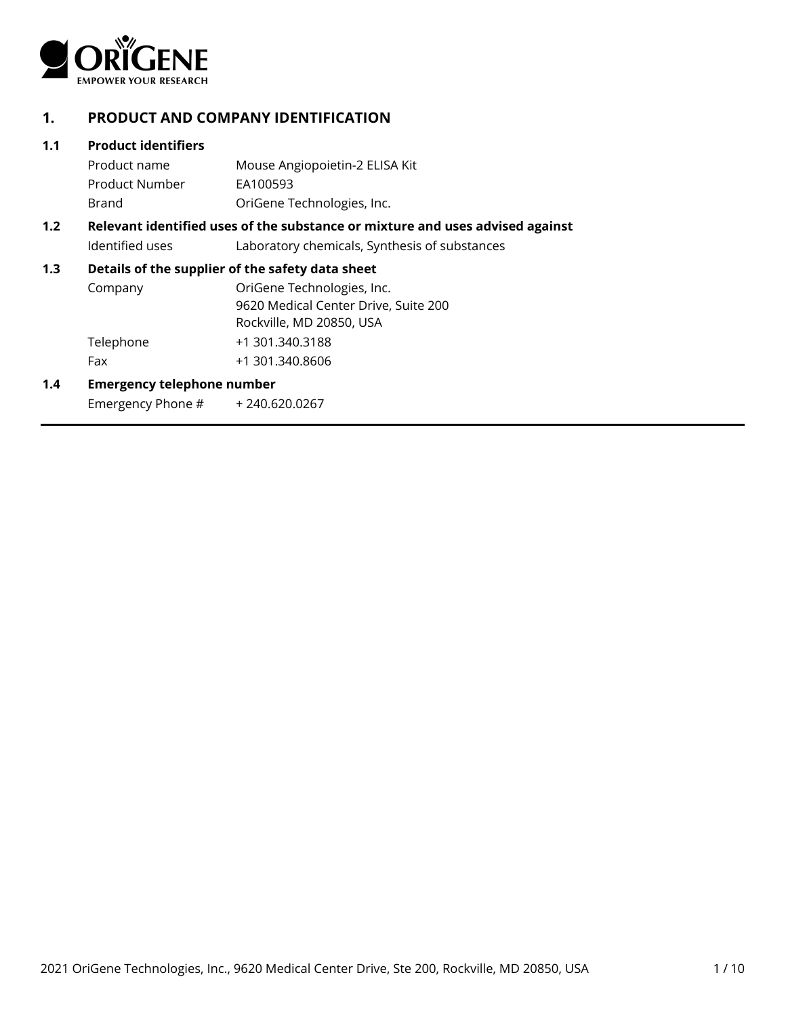

# **1. PRODUCT AND COMPANY IDENTIFICATION**

### **1.1 Product identifiers**

Product name Mouse Angiopoietin-2 ELISA Kit Product Number EA100593 Brand OriGene Technologies, Inc.

# **1.2 Relevant identified uses of the substance or mixture and uses advised against** Identified uses Laboratory chemicals, Synthesis of substances

### **1.3 Details of the supplier of the safety data sheet**

| Company   | OriGene Technologies, Inc.           |
|-----------|--------------------------------------|
|           | 9620 Medical Center Drive, Suite 200 |
|           | Rockville, MD 20850, USA             |
| Telephone | +1 301.340.3188                      |
| Fax       | +1 301.340.8606                      |

### **1.4 Emergency telephone number**

Emergency Phone # + 240.620.0267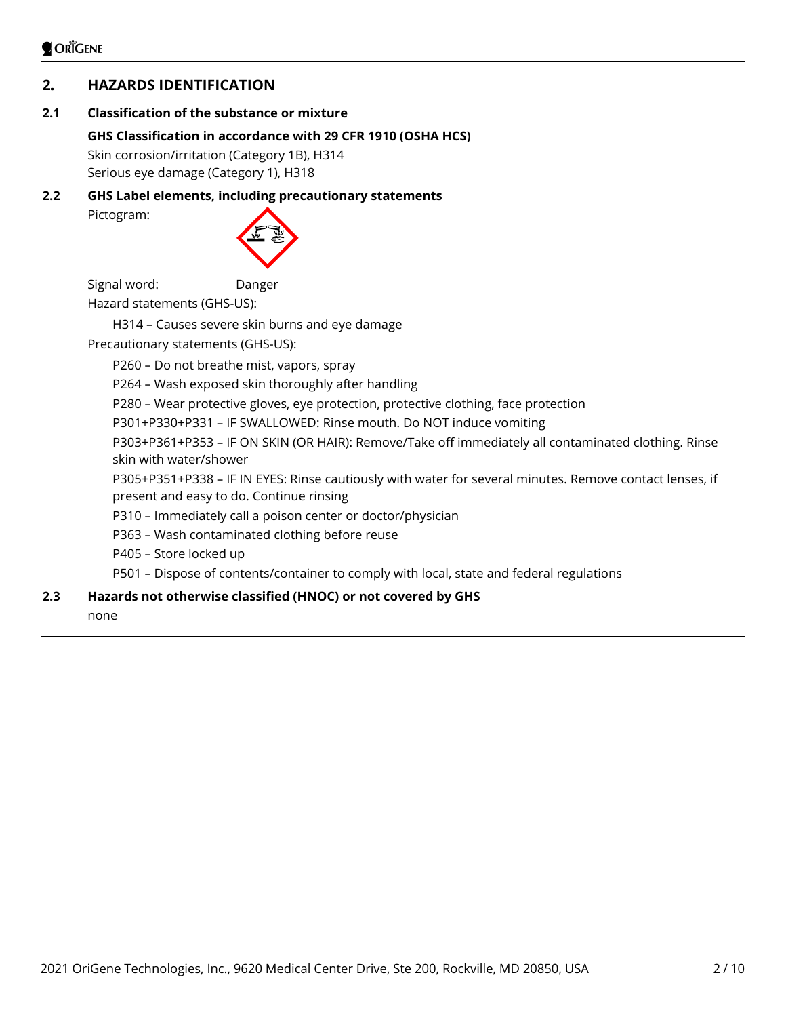# **2. HAZARDS IDENTIFICATION**

# **2.1 Classification of the substance or mixture**

# **GHS Classification in accordance with 29 CFR 1910 (OSHA HCS)**

Skin corrosion/irritation (Category 1B), H314 Serious eye damage (Category 1), H318

**2.2 GHS Label elements, including precautionary statements** Pictogram:



Signal word: Danger Hazard statements (GHS-US):

H314 – Causes severe skin burns and eye damage Precautionary statements (GHS-US):

P260 – Do not breathe mist, vapors, spray

P264 – Wash exposed skin thoroughly after handling

P280 – Wear protective gloves, eye protection, protective clothing, face protection

P301+P330+P331 – IF SWALLOWED: Rinse mouth. Do NOT induce vomiting

P303+P361+P353 – IF ON SKIN (OR HAIR): Remove/Take off immediately all contaminated clothing. Rinse skin with water/shower

P305+P351+P338 – IF IN EYES: Rinse cautiously with water for several minutes. Remove contact lenses, if present and easy to do. Continue rinsing

P310 – Immediately call a poison center or doctor/physician

P363 – Wash contaminated clothing before reuse

P405 – Store locked up

P501 – Dispose of contents/container to comply with local, state and federal regulations

# **2.3 Hazards not otherwise classified (HNOC) or not covered by GHS**

none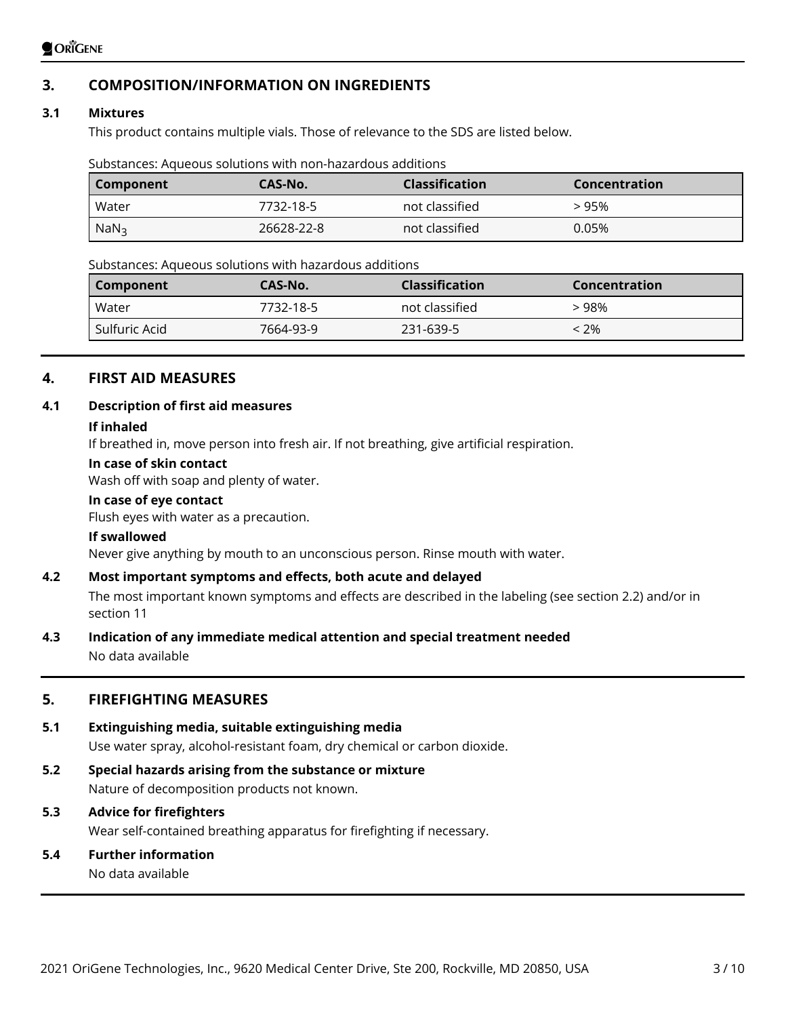# **3. COMPOSITION/INFORMATION ON INGREDIENTS**

# **3.1 Mixtures**

This product contains multiple vials. Those of relevance to the SDS are listed below.

|  | Substances: Aqueous solutions with non-hazardous additions |  |
|--|------------------------------------------------------------|--|
|  |                                                            |  |

| Component        | CAS-No.    | <b>Classification</b> | Concentration |
|------------------|------------|-----------------------|---------------|
| Water            | 7732-18-5  | not classified        | > 95%         |
| NaN <sub>3</sub> | 26628-22-8 | not classified        | 0.05%         |

Substances: Aqueous solutions with hazardous additions

| Component     | CAS-No.   | <b>Classification</b> | Concentration |
|---------------|-----------|-----------------------|---------------|
| Water         | 7732-18-5 | not classified        | > 98%         |
| Sulfuric Acid | 7664-93-9 | 231-639-5             | $< 2\%$       |
|               |           |                       |               |

# **4. FIRST AID MEASURES**

# **4.1 Description of first aid measures**

#### **If inhaled**

If breathed in, move person into fresh air. If not breathing, give artificial respiration.

#### **In case of skin contact**

Wash off with soap and plenty of water.

### **In case of eye contact**

Flush eyes with water as a precaution.

#### **If swallowed**

Never give anything by mouth to an unconscious person. Rinse mouth with water.

### **4.2 Most important symptoms and effects, both acute and delayed**

The most important known symptoms and effects are described in the labeling (see section 2.2) and/or in section 11

# **4.3 Indication of any immediate medical attention and special treatment needed**

No data available

# **5. FIREFIGHTING MEASURES**

### **5.1 Extinguishing media, suitable extinguishing media**

Use water spray, alcohol-resistant foam, dry chemical or carbon dioxide.

**5.2 Special hazards arising from the substance or mixture** Nature of decomposition products not known.

# **5.3 Advice for firefighters**

Wear self-contained breathing apparatus for firefighting if necessary.

# **5.4 Further information**

No data available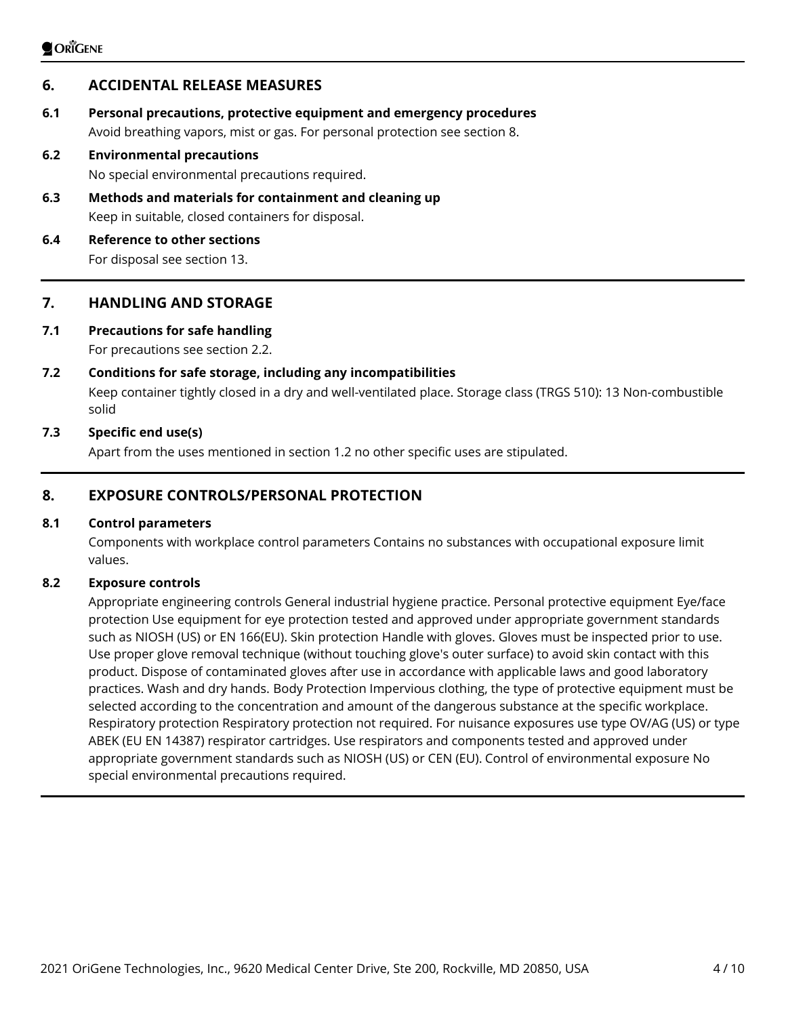# **6. ACCIDENTAL RELEASE MEASURES**

**6.1 Personal precautions, protective equipment and emergency procedures** Avoid breathing vapors, mist or gas. For personal protection see section 8.

#### **6.2 Environmental precautions**

No special environmental precautions required.

**6.3 Methods and materials for containment and cleaning up** Keep in suitable, closed containers for disposal.

# **6.4 Reference to other sections**

For disposal see section 13.

# **7. HANDLING AND STORAGE**

# **7.1 Precautions for safe handling**

For precautions see section 2.2.

### **7.2 Conditions for safe storage, including any incompatibilities**

Keep container tightly closed in a dry and well-ventilated place. Storage class (TRGS 510): 13 Non-combustible solid

### **7.3 Specific end use(s)**

Apart from the uses mentioned in section 1.2 no other specific uses are stipulated.

# **8. EXPOSURE CONTROLS/PERSONAL PROTECTION**

#### **8.1 Control parameters**

Components with workplace control parameters Contains no substances with occupational exposure limit values.

#### **8.2 Exposure controls**

Appropriate engineering controls General industrial hygiene practice. Personal protective equipment Eye/face protection Use equipment for eye protection tested and approved under appropriate government standards such as NIOSH (US) or EN 166(EU). Skin protection Handle with gloves. Gloves must be inspected prior to use. Use proper glove removal technique (without touching glove's outer surface) to avoid skin contact with this product. Dispose of contaminated gloves after use in accordance with applicable laws and good laboratory practices. Wash and dry hands. Body Protection Impervious clothing, the type of protective equipment must be selected according to the concentration and amount of the dangerous substance at the specific workplace. Respiratory protection Respiratory protection not required. For nuisance exposures use type OV/AG (US) or type ABEK (EU EN 14387) respirator cartridges. Use respirators and components tested and approved under appropriate government standards such as NIOSH (US) or CEN (EU). Control of environmental exposure No special environmental precautions required.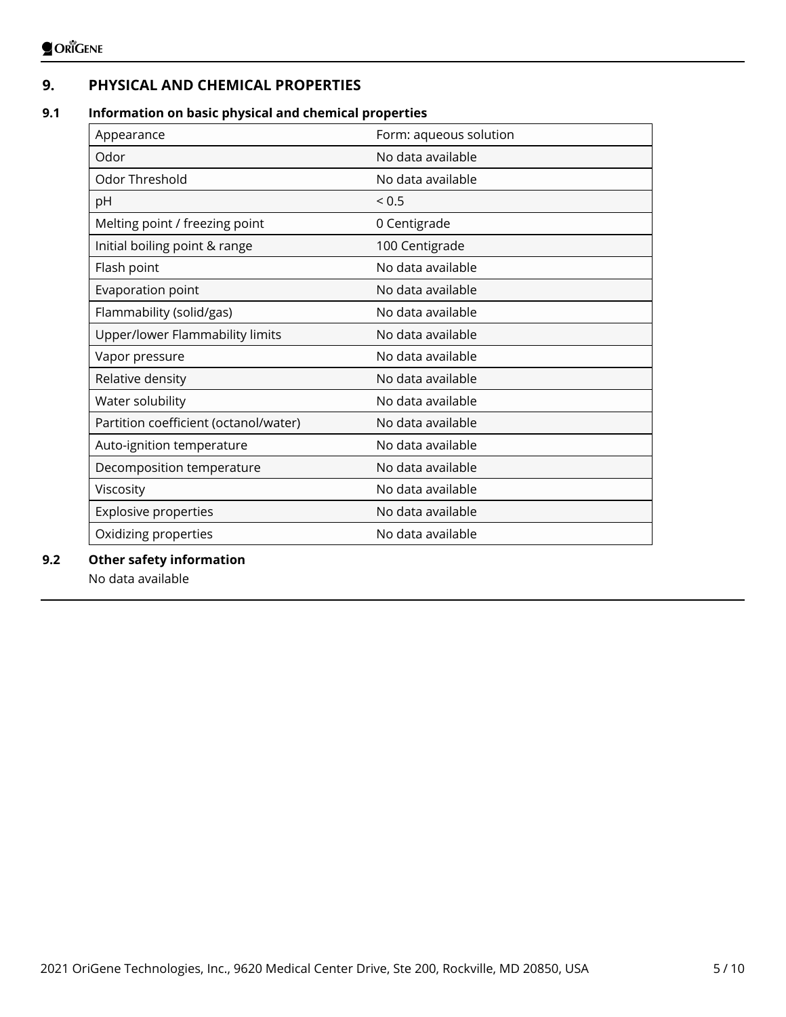# **9. PHYSICAL AND CHEMICAL PROPERTIES**

# **9.1 Information on basic physical and chemical properties**

| Appearance                            | Form: aqueous solution |
|---------------------------------------|------------------------|
| Odor                                  | No data available      |
| Odor Threshold                        | No data available      |
| pH                                    | ${}_{0.5}$             |
| Melting point / freezing point        | 0 Centigrade           |
| Initial boiling point & range         | 100 Centigrade         |
| Flash point                           | No data available      |
| Evaporation point                     | No data available      |
| Flammability (solid/gas)              | No data available      |
| Upper/lower Flammability limits       | No data available      |
| Vapor pressure                        | No data available      |
| Relative density                      | No data available      |
| Water solubility                      | No data available      |
| Partition coefficient (octanol/water) | No data available      |
| Auto-ignition temperature             | No data available      |
| Decomposition temperature             | No data available      |
| Viscosity                             | No data available      |
| <b>Explosive properties</b>           | No data available      |
| Oxidizing properties                  | No data available      |

### **9.2 Other safety information**

No data available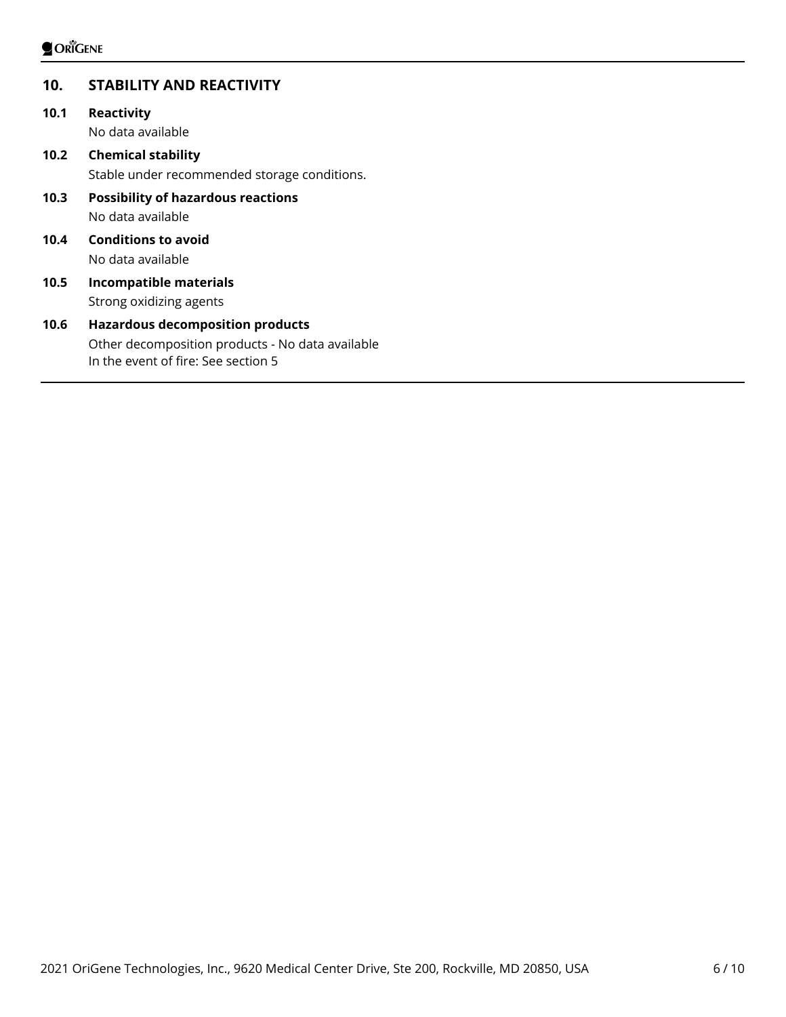# **10. STABILITY AND REACTIVITY**

- **10.1 Reactivity** No data available
- **10.2 Chemical stability** Stable under recommended storage conditions. **10.3 Possibility of hazardous reactions**

No data available

- **10.4 Conditions to avoid** No data available
- **10.5 Incompatible materials** Strong oxidizing agents

# **10.6 Hazardous decomposition products** Other decomposition products - No data available In the event of fire: See section 5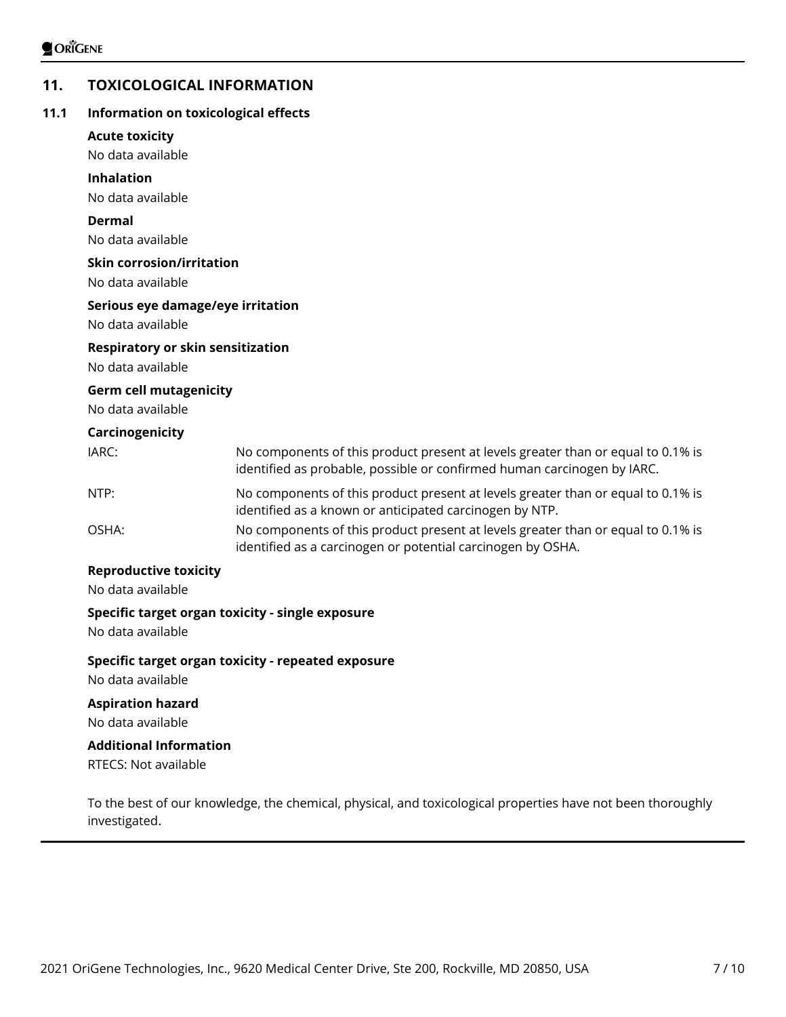# **11. TOXICOLOGICAL INFORMATION**

### **11.1 Information on toxicological effects**

#### **Acute toxicity**

No data available

#### **Inhalation**

No data available

#### **Dermal**

No data available

#### **Skin corrosion/irritation**

No data available

#### **Serious eye damage/eye irritation**

No data available

#### **Respiratory or skin sensitization**

No data available

#### **Germ cell mutagenicity**

No data available

#### **Carcinogenicity**

| IARC: | No components of this product present at levels greater than or equal to 0.1% is<br>identified as probable, possible or confirmed human carcinogen by IARC. |
|-------|-------------------------------------------------------------------------------------------------------------------------------------------------------------|
| NTP:  | No components of this product present at levels greater than or equal to 0.1% is<br>identified as a known or anticipated carcinogen by NTP.                 |

OSHA: No components of this product present at levels greater than or equal to 0.1% is identified as a carcinogen or potential carcinogen by OSHA.

#### **Reproductive toxicity**

No data available

### **Specific target organ toxicity - single exposure**

No data available

### **Specific target organ toxicity - repeated exposure**

No data available

### **Aspiration hazard**

No data available

# **Additional Information**

RTECS: Not available

To the best of our knowledge, the chemical, physical, and toxicological properties have not been thoroughly investigated.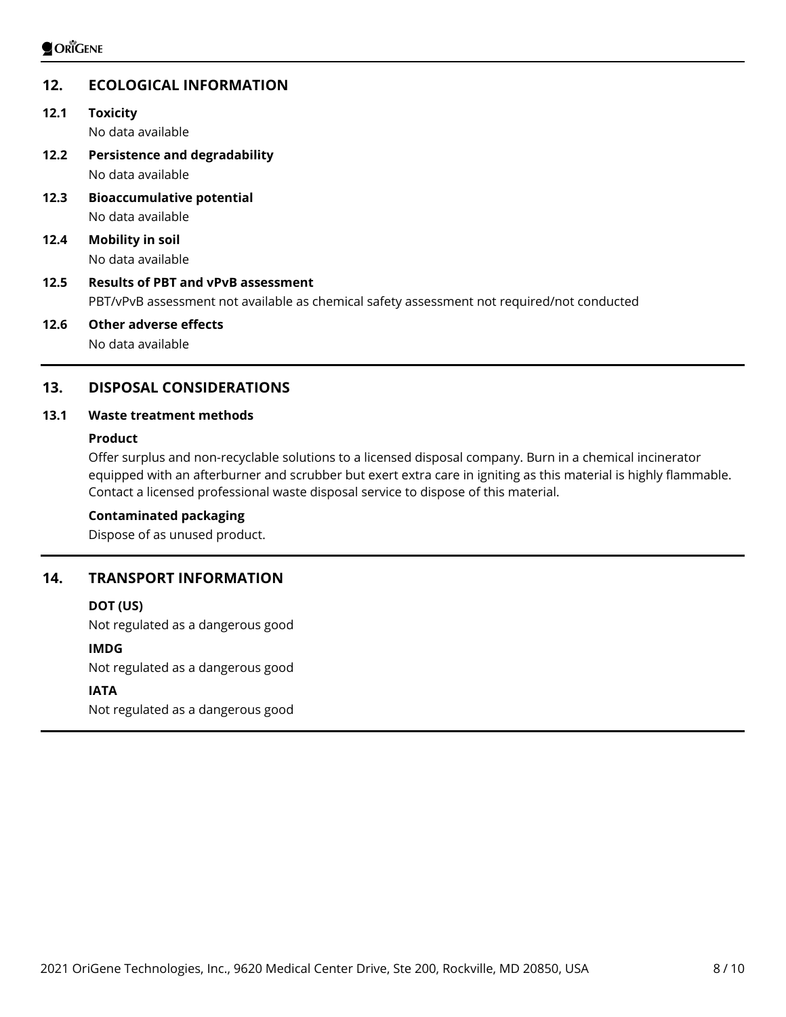# **12. ECOLOGICAL INFORMATION**

**12.1 Toxicity**

No data available

- **12.2 Persistence and degradability** No data available
- **12.3 Bioaccumulative potential** No data available
- **12.4 Mobility in soil** No data available

# **12.5 Results of PBT and vPvB assessment** PBT/vPvB assessment not available as chemical safety assessment not required/not conducted

**12.6 Other adverse effects** No data available

# **13. DISPOSAL CONSIDERATIONS**

# **13.1 Waste treatment methods**

### **Product**

Offer surplus and non-recyclable solutions to a licensed disposal company. Burn in a chemical incinerator equipped with an afterburner and scrubber but exert extra care in igniting as this material is highly flammable. Contact a licensed professional waste disposal service to dispose of this material.

### **Contaminated packaging**

Dispose of as unused product.

# **14. TRANSPORT INFORMATION**

### **DOT (US)**

Not regulated as a dangerous good

### **IMDG**

Not regulated as a dangerous good

### **IATA**

Not regulated as a dangerous good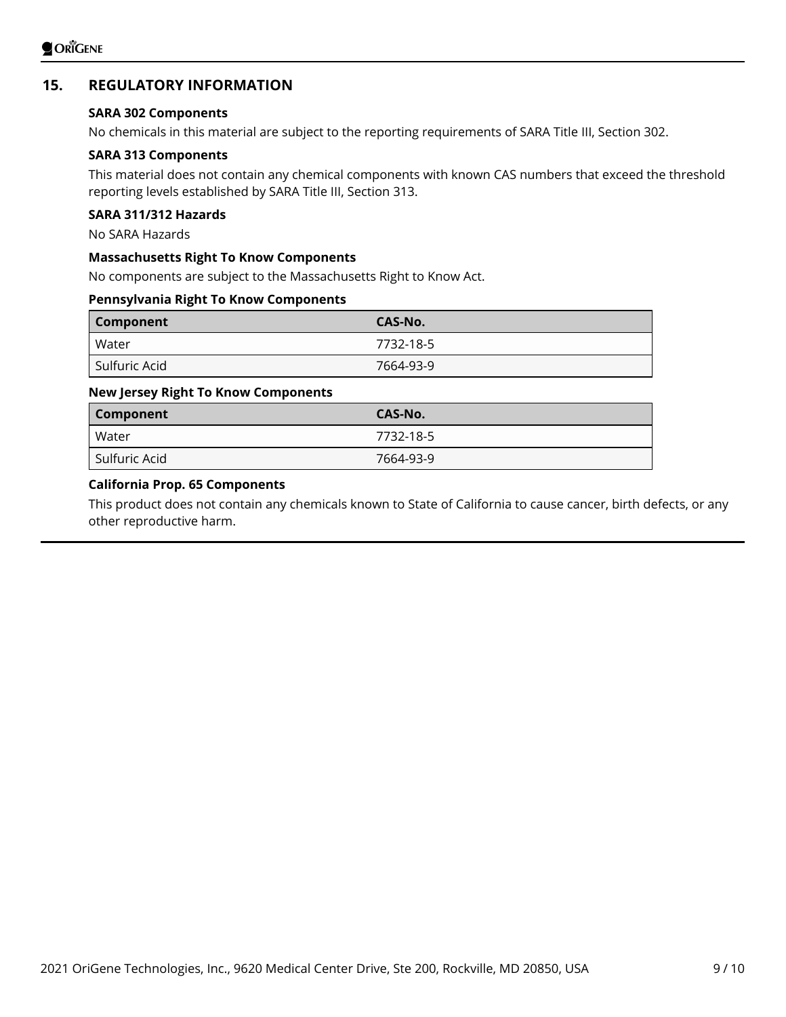# **15. REGULATORY INFORMATION**

#### **SARA 302 Components**

No chemicals in this material are subject to the reporting requirements of SARA Title III, Section 302.

#### **SARA 313 Components**

This material does not contain any chemical components with known CAS numbers that exceed the threshold reporting levels established by SARA Title III, Section 313.

# **SARA 311/312 Hazards**

No SARA Hazards

#### **Massachusetts Right To Know Components**

No components are subject to the Massachusetts Right to Know Act.

#### **Pennsylvania Right To Know Components**

| <b>Component</b> | CAS-No.   |
|------------------|-----------|
| Water            | 7732-18-5 |
| Sulfuric Acid    | 7664-93-9 |

#### **New Jersey Right To Know Components**

| Component     | CAS-No.   |
|---------------|-----------|
| Water         | 7732-18-5 |
| Sulfuric Acid | 7664-93-9 |

#### **California Prop. 65 Components**

This product does not contain any chemicals known to State of California to cause cancer, birth defects, or any other reproductive harm.